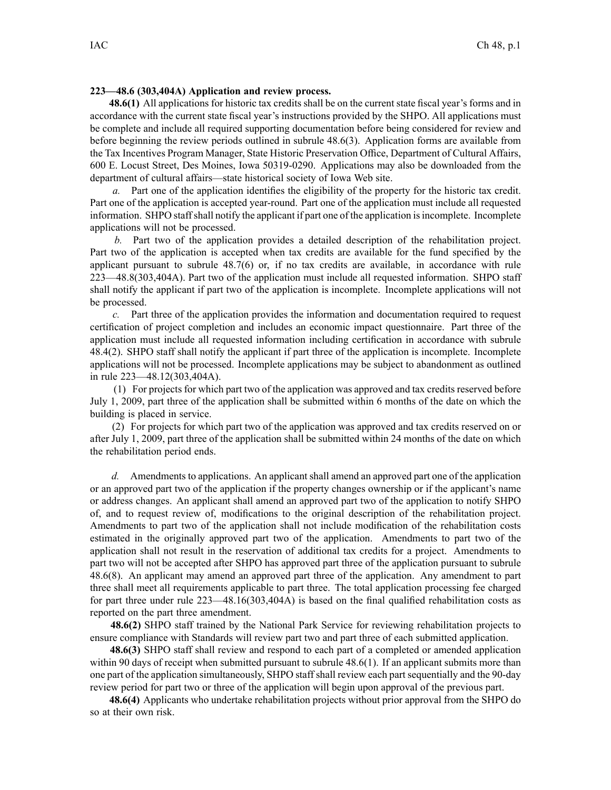## **223—48.6 (303,404A) Application and review process.**

**48.6(1)** All applications for historic tax credits shall be on the current state fiscal year's forms and in accordance with the current state fiscal year's instructions provided by the SHPO. All applications must be complete and include all required supporting documentation before being considered for review and before beginning the review periods outlined in subrule 48.6(3). Application forms are available from the Tax Incentives Program Manager, State Historic Preservation Office, Department of Cultural Affairs, 600 E. Locust Street, Des Moines, Iowa 50319-0290. Applications may also be downloaded from the department of cultural affairs—state historical society of Iowa Web site.

*a.* Part one of the application identifies the eligibility of the property for the historic tax credit. Part one of the application is accepted year-round. Part one of the application must include all requested information. SHPO staffshall notify the applicant if par<sup>t</sup> one of the application isincomplete. Incomplete applications will not be processed.

*b.* Part two of the application provides <sup>a</sup> detailed description of the rehabilitation project. Part two of the application is accepted when tax credits are available for the fund specified by the applicant pursuan<sup>t</sup> to subrule 48.7(6) or, if no tax credits are available, in accordance with rule 223—48.8(303,404A). Part two of the application must include all requested information. SHPO staff shall notify the applicant if par<sup>t</sup> two of the application is incomplete. Incomplete applications will not be processed.

*c.* Part three of the application provides the information and documentation required to reques<sup>t</sup> certification of project completion and includes an economic impact questionnaire. Part three of the application must include all requested information including certification in accordance with subrule 48.4(2). SHPO staff shall notify the applicant if par<sup>t</sup> three of the application is incomplete. Incomplete applications will not be processed. Incomplete applications may be subject to abandonment as outlined in rule 223—48.12(303,404A).

(1) For projects for which par<sup>t</sup> two of the application was approved and tax credits reserved before July 1, 2009, par<sup>t</sup> three of the application shall be submitted within 6 months of the date on which the building is placed in service.

(2) For projects for which par<sup>t</sup> two of the application was approved and tax credits reserved on or after July 1, 2009, par<sup>t</sup> three of the application shall be submitted within 24 months of the date on which the rehabilitation period ends.

*d.* Amendments to applications. An applicant shall amend an approved part one of the application or an approved par<sup>t</sup> two of the application if the property changes ownership or if the applicant's name or address changes. An applicant shall amend an approved par<sup>t</sup> two of the application to notify SHPO of, and to reques<sup>t</sup> review of, modifications to the original description of the rehabilitation project. Amendments to par<sup>t</sup> two of the application shall not include modification of the rehabilitation costs estimated in the originally approved par<sup>t</sup> two of the application. Amendments to par<sup>t</sup> two of the application shall not result in the reservation of additional tax credits for <sup>a</sup> project. Amendments to par<sup>t</sup> two will not be accepted after SHPO has approved par<sup>t</sup> three of the application pursuan<sup>t</sup> to subrule 48.6(8). An applicant may amend an approved par<sup>t</sup> three of the application. Any amendment to par<sup>t</sup> three shall meet all requirements applicable to par<sup>t</sup> three. The total application processing fee charged for par<sup>t</sup> three under rule 223—48.16(303,404A) is based on the final qualified rehabilitation costs as reported on the par<sup>t</sup> three amendment.

**48.6(2)** SHPO staff trained by the National Park Service for reviewing rehabilitation projects to ensure compliance with Standards will review par<sup>t</sup> two and par<sup>t</sup> three of each submitted application.

**48.6(3)** SHPO staff shall review and respond to each par<sup>t</sup> of <sup>a</sup> completed or amended application within 90 days of receipt when submitted pursuant to subrule 48.6(1). If an applicant submits more than one par<sup>t</sup> of the application simultaneously, SHPO staff shall review each par<sup>t</sup> sequentially and the 90-day review period for par<sup>t</sup> two or three of the application will begin upon approval of the previous part.

**48.6(4)** Applicants who undertake rehabilitation projects without prior approval from the SHPO do so at their own risk.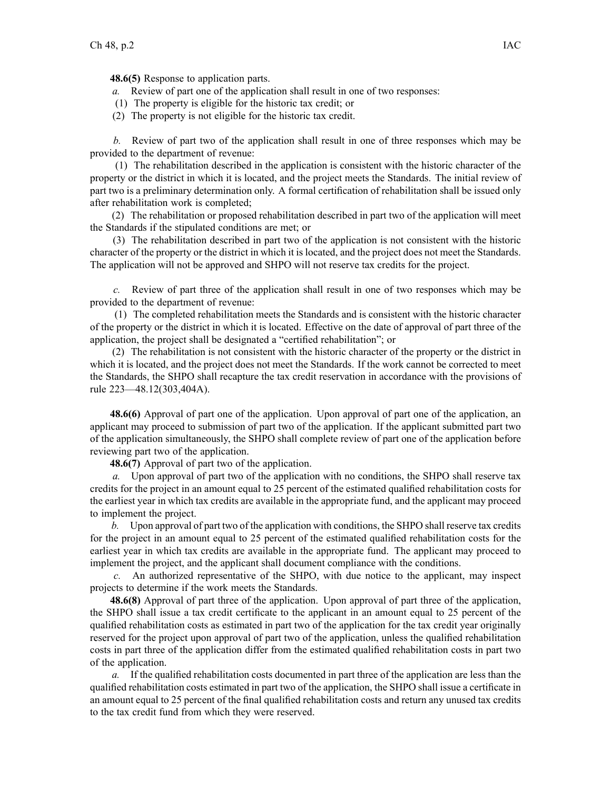**48.6(5)** Response to application parts.

- *a.* Review of par<sup>t</sup> one of the application shall result in one of two responses:
- (1) The property is eligible for the historic tax credit; or
- (2) The property is not eligible for the historic tax credit.

*b.* Review of par<sup>t</sup> two of the application shall result in one of three responses which may be provided to the department of revenue:

(1) The rehabilitation described in the application is consistent with the historic character of the property or the district in which it is located, and the project meets the Standards. The initial review of par<sup>t</sup> two is <sup>a</sup> preliminary determination only. A formal certification of rehabilitation shall be issued only after rehabilitation work is completed;

(2) The rehabilitation or proposed rehabilitation described in par<sup>t</sup> two of the application will meet the Standards if the stipulated conditions are met; or

(3) The rehabilitation described in par<sup>t</sup> two of the application is not consistent with the historic character of the property or the district in which it is located, and the project does not meet the Standards. The application will not be approved and SHPO will not reserve tax credits for the project.

*c.* Review of par<sup>t</sup> three of the application shall result in one of two responses which may be provided to the department of revenue:

(1) The completed rehabilitation meets the Standards and is consistent with the historic character of the property or the district in which it is located. Effective on the date of approval of par<sup>t</sup> three of the application, the project shall be designated <sup>a</sup> "certified rehabilitation"; or

(2) The rehabilitation is not consistent with the historic character of the property or the district in which it is located, and the project does not meet the Standards. If the work cannot be corrected to meet the Standards, the SHPO shall recapture the tax credit reservation in accordance with the provisions of rule 223—48.12(303,404A).

**48.6(6)** Approval of par<sup>t</sup> one of the application. Upon approval of par<sup>t</sup> one of the application, an applicant may proceed to submission of par<sup>t</sup> two of the application. If the applicant submitted par<sup>t</sup> two of the application simultaneously, the SHPO shall complete review of par<sup>t</sup> one of the application before reviewing par<sup>t</sup> two of the application.

**48.6(7)** Approval of par<sup>t</sup> two of the application.

*a.* Upon approval of par<sup>t</sup> two of the application with no conditions, the SHPO shall reserve tax credits for the project in an amount equal to 25 percen<sup>t</sup> of the estimated qualified rehabilitation costs for the earliest year in which tax credits are available in the appropriate fund, and the applicant may proceed to implement the project.

*b.* Upon approval of par<sup>t</sup> two of the application with conditions, the SHPO shall reserve tax credits for the project in an amount equal to 25 percen<sup>t</sup> of the estimated qualified rehabilitation costs for the earliest year in which tax credits are available in the appropriate fund. The applicant may proceed to implement the project, and the applicant shall document compliance with the conditions.

*c.* An authorized representative of the SHPO, with due notice to the applicant, may inspect projects to determine if the work meets the Standards.

**48.6(8)** Approval of par<sup>t</sup> three of the application. Upon approval of par<sup>t</sup> three of the application, the SHPO shall issue <sup>a</sup> tax credit certificate to the applicant in an amount equal to 25 percen<sup>t</sup> of the qualified rehabilitation costs as estimated in par<sup>t</sup> two of the application for the tax credit year originally reserved for the project upon approval of par<sup>t</sup> two of the application, unless the qualified rehabilitation costs in par<sup>t</sup> three of the application differ from the estimated qualified rehabilitation costs in par<sup>t</sup> two of the application.

*a.* If the qualified rehabilitation costs documented in par<sup>t</sup> three of the application are less than the qualified rehabilitation costs estimated in par<sup>t</sup> two of the application, the SHPO shall issue <sup>a</sup> certificate in an amount equal to 25 percen<sup>t</sup> of the final qualified rehabilitation costs and return any unused tax credits to the tax credit fund from which they were reserved.